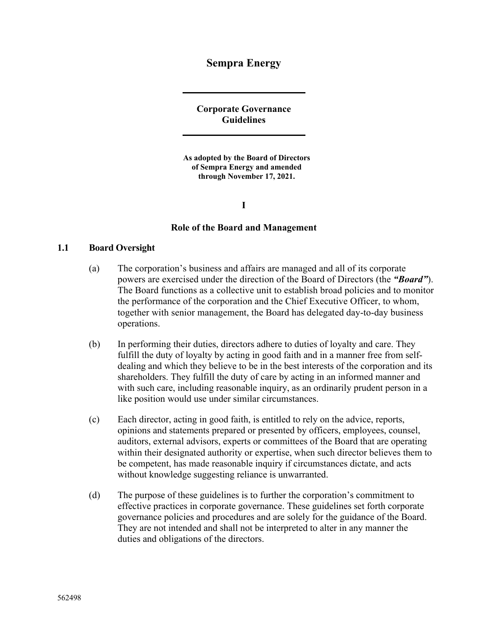# **Sempra Energy**

**Corporate Governance Guidelines** 

**As adopted by the Board of Directors of Sempra Energy and amended through November 17, 2021.** 

**I** 

#### **Role of the Board and Management**

#### **1.1 Board Oversight**

- (a) The corporation's business and affairs are managed and all of its corporate powers are exercised under the direction of the Board of Directors (the *"Board"*). The Board functions as a collective unit to establish broad policies and to monitor the performance of the corporation and the Chief Executive Officer, to whom, together with senior management, the Board has delegated day-to-day business operations.
- (b) In performing their duties, directors adhere to duties of loyalty and care. They fulfill the duty of loyalty by acting in good faith and in a manner free from selfdealing and which they believe to be in the best interests of the corporation and its shareholders. They fulfill the duty of care by acting in an informed manner and with such care, including reasonable inquiry, as an ordinarily prudent person in a like position would use under similar circumstances.
- (c) Each director, acting in good faith, is entitled to rely on the advice, reports, opinions and statements prepared or presented by officers, employees, counsel, auditors, external advisors, experts or committees of the Board that are operating within their designated authority or expertise, when such director believes them to be competent, has made reasonable inquiry if circumstances dictate, and acts without knowledge suggesting reliance is unwarranted.
- (d) The purpose of these guidelines is to further the corporation's commitment to effective practices in corporate governance. These guidelines set forth corporate governance policies and procedures and are solely for the guidance of the Board. They are not intended and shall not be interpreted to alter in any manner the duties and obligations of the directors.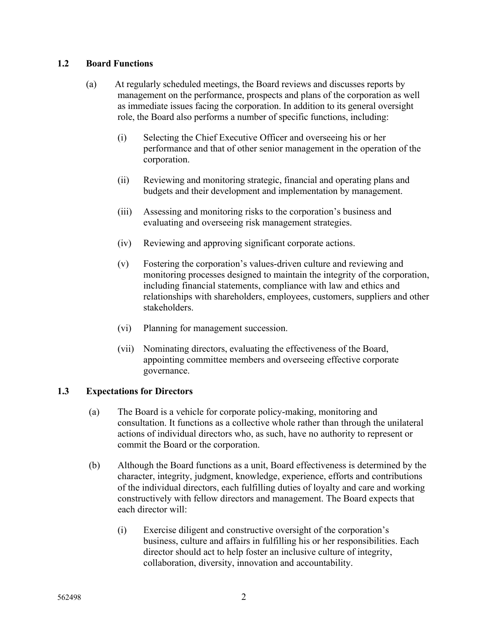## **1.2 Board Functions**

- (a) At regularly scheduled meetings, the Board reviews and discusses reports by management on the performance, prospects and plans of the corporation as well as immediate issues facing the corporation. In addition to its general oversight role, the Board also performs a number of specific functions, including:
	- (i) Selecting the Chief Executive Officer and overseeing his or her performance and that of other senior management in the operation of the corporation.
	- (ii) Reviewing and monitoring strategic, financial and operating plans and budgets and their development and implementation by management.
	- (iii) Assessing and monitoring risks to the corporation's business and evaluating and overseeing risk management strategies.
	- (iv) Reviewing and approving significant corporate actions.
	- (v) Fostering the corporation's values-driven culture and reviewing and monitoring processes designed to maintain the integrity of the corporation, including financial statements, compliance with law and ethics and relationships with shareholders, employees, customers, suppliers and other stakeholders.
	- (vi) Planning for management succession.
	- (vii) Nominating directors, evaluating the effectiveness of the Board, appointing committee members and overseeing effective corporate governance.

# **1.3 Expectations for Directors**

- (a) The Board is a vehicle for corporate policy-making, monitoring and consultation. It functions as a collective whole rather than through the unilateral actions of individual directors who, as such, have no authority to represent or commit the Board or the corporation.
- (b) Although the Board functions as a unit, Board effectiveness is determined by the character, integrity, judgment, knowledge, experience, efforts and contributions of the individual directors, each fulfilling duties of loyalty and care and working constructively with fellow directors and management. The Board expects that each director will:
	- (i) Exercise diligent and constructive oversight of the corporation's business, culture and affairs in fulfilling his or her responsibilities. Each director should act to help foster an inclusive culture of integrity, collaboration, diversity, innovation and accountability.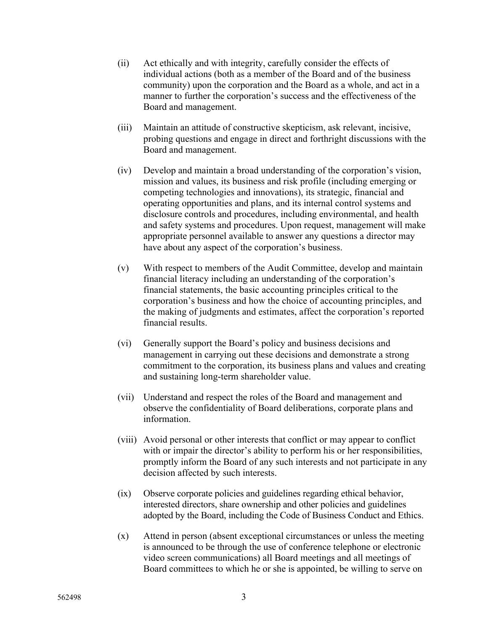- (ii) Act ethically and with integrity, carefully consider the effects of individual actions (both as a member of the Board and of the business community) upon the corporation and the Board as a whole, and act in a manner to further the corporation's success and the effectiveness of the Board and management.
- (iii) Maintain an attitude of constructive skepticism, ask relevant, incisive, probing questions and engage in direct and forthright discussions with the Board and management.
- (iv) Develop and maintain a broad understanding of the corporation's vision, mission and values, its business and risk profile (including emerging or competing technologies and innovations), its strategic, financial and operating opportunities and plans, and its internal control systems and disclosure controls and procedures, including environmental, and health and safety systems and procedures. Upon request, management will make appropriate personnel available to answer any questions a director may have about any aspect of the corporation's business.
- (v) With respect to members of the Audit Committee, develop and maintain financial literacy including an understanding of the corporation's financial statements, the basic accounting principles critical to the corporation's business and how the choice of accounting principles, and the making of judgments and estimates, affect the corporation's reported financial results.
- (vi) Generally support the Board's policy and business decisions and management in carrying out these decisions and demonstrate a strong commitment to the corporation, its business plans and values and creating and sustaining long-term shareholder value.
- (vii) Understand and respect the roles of the Board and management and observe the confidentiality of Board deliberations, corporate plans and information.
- (viii) Avoid personal or other interests that conflict or may appear to conflict with or impair the director's ability to perform his or her responsibilities, promptly inform the Board of any such interests and not participate in any decision affected by such interests.
- (ix) Observe corporate policies and guidelines regarding ethical behavior, interested directors, share ownership and other policies and guidelines adopted by the Board, including the Code of Business Conduct and Ethics.
- (x) Attend in person (absent exceptional circumstances or unless the meeting is announced to be through the use of conference telephone or electronic video screen communications) all Board meetings and all meetings of Board committees to which he or she is appointed, be willing to serve on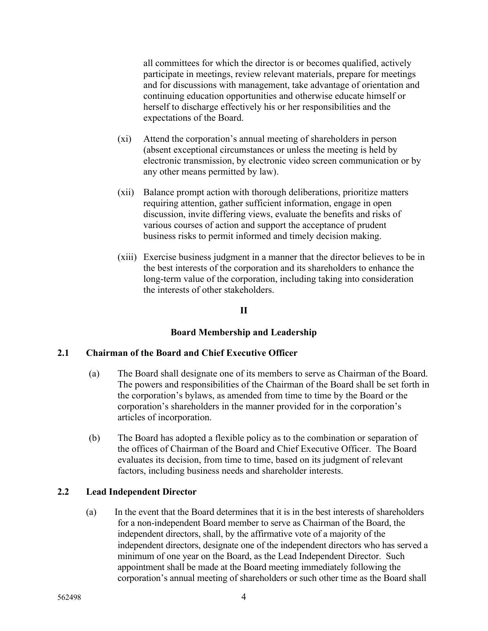all committees for which the director is or becomes qualified, actively participate in meetings, review relevant materials, prepare for meetings and for discussions with management, take advantage of orientation and continuing education opportunities and otherwise educate himself or herself to discharge effectively his or her responsibilities and the expectations of the Board.

- (xi) Attend the corporation's annual meeting of shareholders in person (absent exceptional circumstances or unless the meeting is held by electronic transmission, by electronic video screen communication or by any other means permitted by law).
- (xii) Balance prompt action with thorough deliberations, prioritize matters requiring attention, gather sufficient information, engage in open discussion, invite differing views, evaluate the benefits and risks of various courses of action and support the acceptance of prudent business risks to permit informed and timely decision making.
- (xiii) Exercise business judgment in a manner that the director believes to be in the best interests of the corporation and its shareholders to enhance the long-term value of the corporation, including taking into consideration the interests of other stakeholders.

### **II**

# **Board Membership and Leadership**

### **2.1 Chairman of the Board and Chief Executive Officer**

- (a) The Board shall designate one of its members to serve as Chairman of the Board. The powers and responsibilities of the Chairman of the Board shall be set forth in the corporation's bylaws, as amended from time to time by the Board or the corporation's shareholders in the manner provided for in the corporation's articles of incorporation.
- (b) The Board has adopted a flexible policy as to the combination or separation of the offices of Chairman of the Board and Chief Executive Officer. The Board evaluates its decision, from time to time, based on its judgment of relevant factors, including business needs and shareholder interests.

# **2.2 Lead Independent Director**

(a) In the event that the Board determines that it is in the best interests of shareholders for a non-independent Board member to serve as Chairman of the Board, the independent directors, shall, by the affirmative vote of a majority of the independent directors, designate one of the independent directors who has served a minimum of one year on the Board, as the Lead Independent Director. Such appointment shall be made at the Board meeting immediately following the corporation's annual meeting of shareholders or such other time as the Board shall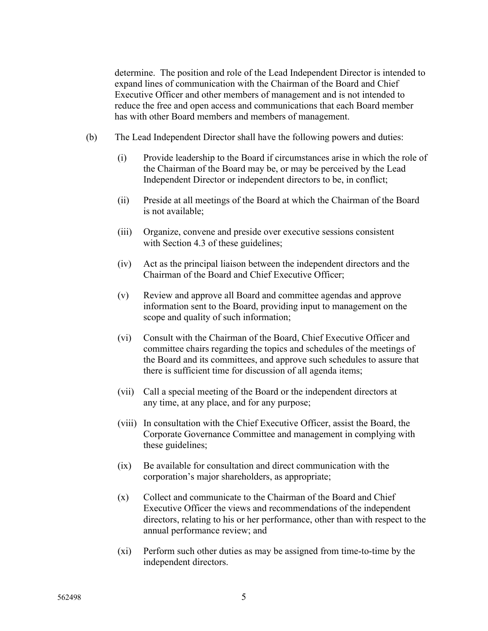determine. The position and role of the Lead Independent Director is intended to expand lines of communication with the Chairman of the Board and Chief Executive Officer and other members of management and is not intended to reduce the free and open access and communications that each Board member has with other Board members and members of management.

- (b) The Lead Independent Director shall have the following powers and duties:
	- (i) Provide leadership to the Board if circumstances arise in which the role of the Chairman of the Board may be, or may be perceived by the Lead Independent Director or independent directors to be, in conflict;
	- (ii) Preside at all meetings of the Board at which the Chairman of the Board is not available;
	- (iii) Organize, convene and preside over executive sessions consistent with Section 4.3 of these guidelines;
	- (iv) Act as the principal liaison between the independent directors and the Chairman of the Board and Chief Executive Officer;
	- (v) Review and approve all Board and committee agendas and approve information sent to the Board, providing input to management on the scope and quality of such information;
	- (vi) Consult with the Chairman of the Board, Chief Executive Officer and committee chairs regarding the topics and schedules of the meetings of the Board and its committees, and approve such schedules to assure that there is sufficient time for discussion of all agenda items;
	- (vii) Call a special meeting of the Board or the independent directors at any time, at any place, and for any purpose;
	- (viii) In consultation with the Chief Executive Officer, assist the Board, the Corporate Governance Committee and management in complying with these guidelines;
	- (ix) Be available for consultation and direct communication with the corporation's major shareholders, as appropriate;
	- (x) Collect and communicate to the Chairman of the Board and Chief Executive Officer the views and recommendations of the independent directors, relating to his or her performance, other than with respect to the annual performance review; and
	- (xi) Perform such other duties as may be assigned from time-to-time by the independent directors.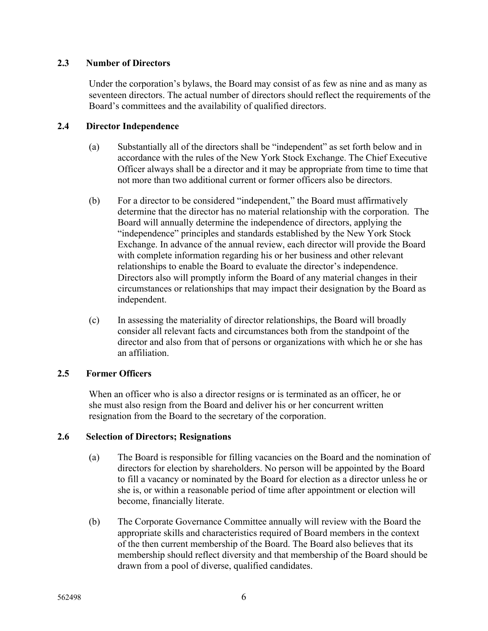## **2.3 Number of Directors**

Under the corporation's bylaws, the Board may consist of as few as nine and as many as seventeen directors. The actual number of directors should reflect the requirements of the Board's committees and the availability of qualified directors.

## **2.4 Director Independence**

- (a) Substantially all of the directors shall be "independent" as set forth below and in accordance with the rules of the New York Stock Exchange. The Chief Executive Officer always shall be a director and it may be appropriate from time to time that not more than two additional current or former officers also be directors.
- (b) For a director to be considered "independent," the Board must affirmatively determine that the director has no material relationship with the corporation. The Board will annually determine the independence of directors, applying the "independence" principles and standards established by the New York Stock Exchange. In advance of the annual review, each director will provide the Board with complete information regarding his or her business and other relevant relationships to enable the Board to evaluate the director's independence. Directors also will promptly inform the Board of any material changes in their circumstances or relationships that may impact their designation by the Board as independent.
- (c) In assessing the materiality of director relationships, the Board will broadly consider all relevant facts and circumstances both from the standpoint of the director and also from that of persons or organizations with which he or she has an affiliation.

# **2.5 Former Officers**

When an officer who is also a director resigns or is terminated as an officer, he or she must also resign from the Board and deliver his or her concurrent written resignation from the Board to the secretary of the corporation.

# **2.6 Selection of Directors; Resignations**

- (a) The Board is responsible for filling vacancies on the Board and the nomination of directors for election by shareholders. No person will be appointed by the Board to fill a vacancy or nominated by the Board for election as a director unless he or she is, or within a reasonable period of time after appointment or election will become, financially literate.
- (b) The Corporate Governance Committee annually will review with the Board the appropriate skills and characteristics required of Board members in the context of the then current membership of the Board. The Board also believes that its membership should reflect diversity and that membership of the Board should be drawn from a pool of diverse, qualified candidates.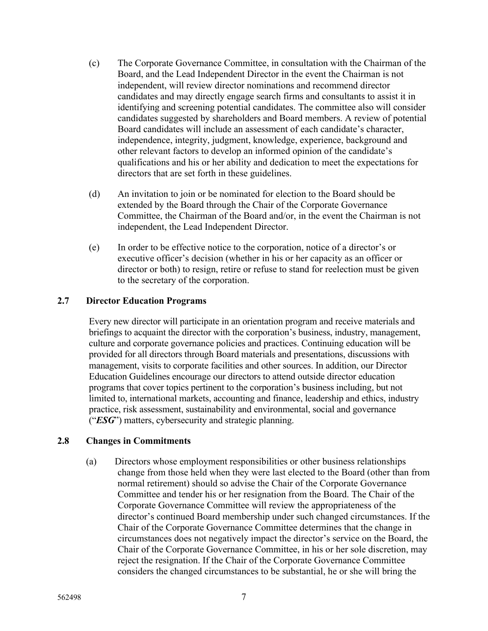- (c) The Corporate Governance Committee, in consultation with the Chairman of the Board, and the Lead Independent Director in the event the Chairman is not independent, will review director nominations and recommend director candidates and may directly engage search firms and consultants to assist it in identifying and screening potential candidates. The committee also will consider candidates suggested by shareholders and Board members. A review of potential Board candidates will include an assessment of each candidate's character, independence, integrity, judgment, knowledge, experience, background and other relevant factors to develop an informed opinion of the candidate's qualifications and his or her ability and dedication to meet the expectations for directors that are set forth in these guidelines.
- (d) An invitation to join or be nominated for election to the Board should be extended by the Board through the Chair of the Corporate Governance Committee, the Chairman of the Board and/or, in the event the Chairman is not independent, the Lead Independent Director.
- (e) In order to be effective notice to the corporation, notice of a director's or executive officer's decision (whether in his or her capacity as an officer or director or both) to resign, retire or refuse to stand for reelection must be given to the secretary of the corporation.

### **2.7 Director Education Programs**

Every new director will participate in an orientation program and receive materials and briefings to acquaint the director with the corporation's business, industry, management, culture and corporate governance policies and practices. Continuing education will be provided for all directors through Board materials and presentations, discussions with management, visits to corporate facilities and other sources. In addition, our Director Education Guidelines encourage our directors to attend outside director education programs that cover topics pertinent to the corporation's business including, but not limited to, international markets, accounting and finance, leadership and ethics, industry practice, risk assessment, sustainability and environmental, social and governance ("*ESG*") matters, cybersecurity and strategic planning.

### **2.8 Changes in Commitments**

(a) Directors whose employment responsibilities or other business relationships change from those held when they were last elected to the Board (other than from normal retirement) should so advise the Chair of the Corporate Governance Committee and tender his or her resignation from the Board. The Chair of the Corporate Governance Committee will review the appropriateness of the director's continued Board membership under such changed circumstances. If the Chair of the Corporate Governance Committee determines that the change in circumstances does not negatively impact the director's service on the Board, the Chair of the Corporate Governance Committee, in his or her sole discretion, may reject the resignation. If the Chair of the Corporate Governance Committee considers the changed circumstances to be substantial, he or she will bring the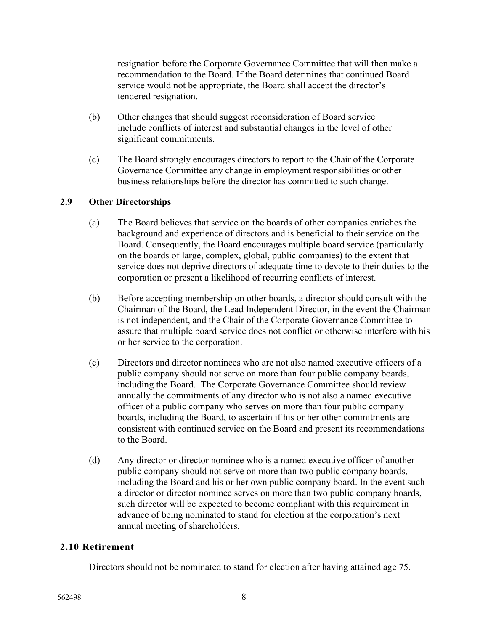resignation before the Corporate Governance Committee that will then make a recommendation to the Board. If the Board determines that continued Board service would not be appropriate, the Board shall accept the director's tendered resignation.

- (b) Other changes that should suggest reconsideration of Board service include conflicts of interest and substantial changes in the level of other significant commitments.
- (c) The Board strongly encourages directors to report to the Chair of the Corporate Governance Committee any change in employment responsibilities or other business relationships before the director has committed to such change.

# **2.9 Other Directorships**

- (a) The Board believes that service on the boards of other companies enriches the background and experience of directors and is beneficial to their service on the Board. Consequently, the Board encourages multiple board service (particularly on the boards of large, complex, global, public companies) to the extent that service does not deprive directors of adequate time to devote to their duties to the corporation or present a likelihood of recurring conflicts of interest.
- (b) Before accepting membership on other boards, a director should consult with the Chairman of the Board, the Lead Independent Director, in the event the Chairman is not independent, and the Chair of the Corporate Governance Committee to assure that multiple board service does not conflict or otherwise interfere with his or her service to the corporation.
- (c) Directors and director nominees who are not also named executive officers of a public company should not serve on more than four public company boards, including the Board. The Corporate Governance Committee should review annually the commitments of any director who is not also a named executive officer of a public company who serves on more than four public company boards, including the Board, to ascertain if his or her other commitments are consistent with continued service on the Board and present its recommendations to the Board.
- (d) Any director or director nominee who is a named executive officer of another public company should not serve on more than two public company boards, including the Board and his or her own public company board. In the event such a director or director nominee serves on more than two public company boards, such director will be expected to become compliant with this requirement in advance of being nominated to stand for election at the corporation's next annual meeting of shareholders.

# **2.10 Retirement**

Directors should not be nominated to stand for election after having attained age 75.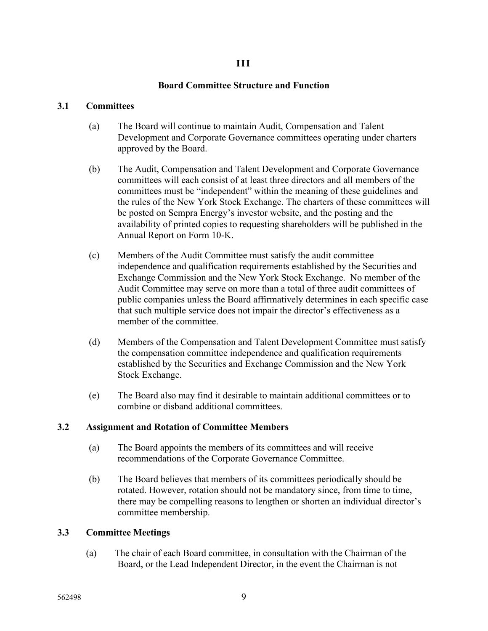## **III**

# **Board Committee Structure and Function**

## **3.1 Committees**

- (a) The Board will continue to maintain Audit, Compensation and Talent Development and Corporate Governance committees operating under charters approved by the Board.
- (b) The Audit, Compensation and Talent Development and Corporate Governance committees will each consist of at least three directors and all members of the committees must be "independent" within the meaning of these guidelines and the rules of the New York Stock Exchange. The charters of these committees will be posted on Sempra Energy's investor website, and the posting and the availability of printed copies to requesting shareholders will be published in the Annual Report on Form 10-K.
- (c) Members of the Audit Committee must satisfy the audit committee independence and qualification requirements established by the Securities and Exchange Commission and the New York Stock Exchange. No member of the Audit Committee may serve on more than a total of three audit committees of public companies unless the Board affirmatively determines in each specific case that such multiple service does not impair the director's effectiveness as a member of the committee.
- (d) Members of the Compensation and Talent Development Committee must satisfy the compensation committee independence and qualification requirements established by the Securities and Exchange Commission and the New York Stock Exchange.
- (e) The Board also may find it desirable to maintain additional committees or to combine or disband additional committees.

# **3.2 Assignment and Rotation of Committee Members**

- (a) The Board appoints the members of its committees and will receive recommendations of the Corporate Governance Committee.
- (b) The Board believes that members of its committees periodically should be rotated. However, rotation should not be mandatory since, from time to time, there may be compelling reasons to lengthen or shorten an individual director's committee membership.

# **3.3 Committee Meetings**

(a) The chair of each Board committee, in consultation with the Chairman of the Board, or the Lead Independent Director, in the event the Chairman is not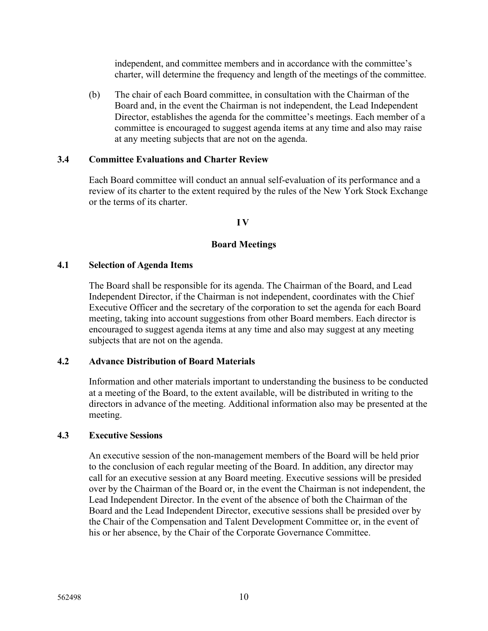independent, and committee members and in accordance with the committee's charter, will determine the frequency and length of the meetings of the committee.

(b) The chair of each Board committee, in consultation with the Chairman of the Board and, in the event the Chairman is not independent, the Lead Independent Director, establishes the agenda for the committee's meetings. Each member of a committee is encouraged to suggest agenda items at any time and also may raise at any meeting subjects that are not on the agenda.

### **3.4 Committee Evaluations and Charter Review**

Each Board committee will conduct an annual self-evaluation of its performance and a review of its charter to the extent required by the rules of the New York Stock Exchange or the terms of its charter.

### **IV**

## **Board Meetings**

### **4.1 Selection of Agenda Items**

The Board shall be responsible for its agenda. The Chairman of the Board, and Lead Independent Director, if the Chairman is not independent, coordinates with the Chief Executive Officer and the secretary of the corporation to set the agenda for each Board meeting, taking into account suggestions from other Board members. Each director is encouraged to suggest agenda items at any time and also may suggest at any meeting subjects that are not on the agenda.

# **4.2 Advance Distribution of Board Materials**

Information and other materials important to understanding the business to be conducted at a meeting of the Board, to the extent available, will be distributed in writing to the directors in advance of the meeting. Additional information also may be presented at the meeting.

### **4.3 Executive Sessions**

An executive session of the non-management members of the Board will be held prior to the conclusion of each regular meeting of the Board. In addition, any director may call for an executive session at any Board meeting. Executive sessions will be presided over by the Chairman of the Board or, in the event the Chairman is not independent, the Lead Independent Director. In the event of the absence of both the Chairman of the Board and the Lead Independent Director, executive sessions shall be presided over by the Chair of the Compensation and Talent Development Committee or, in the event of his or her absence, by the Chair of the Corporate Governance Committee.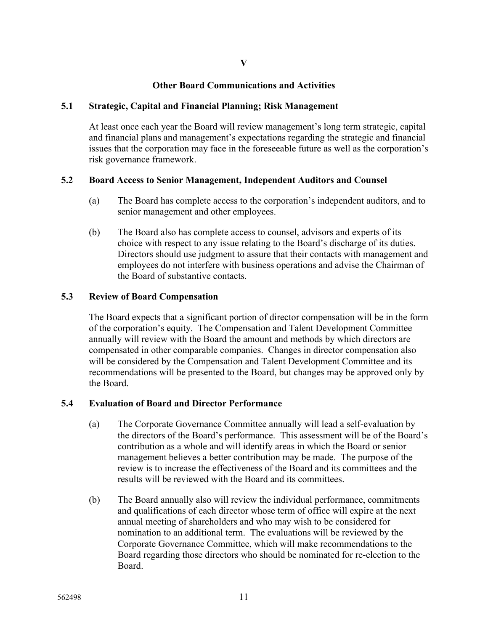## **Other Board Communications and Activities**

#### **5.1 Strategic, Capital and Financial Planning; Risk Management**

At least once each year the Board will review management's long term strategic, capital and financial plans and management's expectations regarding the strategic and financial issues that the corporation may face in the foreseeable future as well as the corporation's risk governance framework.

### **5.2 Board Access to Senior Management, Independent Auditors and Counsel**

- (a) The Board has complete access to the corporation's independent auditors, and to senior management and other employees.
- (b) The Board also has complete access to counsel, advisors and experts of its choice with respect to any issue relating to the Board's discharge of its duties. Directors should use judgment to assure that their contacts with management and employees do not interfere with business operations and advise the Chairman of the Board of substantive contacts.

#### **5.3 Review of Board Compensation**

The Board expects that a significant portion of director compensation will be in the form of the corporation's equity. The Compensation and Talent Development Committee annually will review with the Board the amount and methods by which directors are compensated in other comparable companies. Changes in director compensation also will be considered by the Compensation and Talent Development Committee and its recommendations will be presented to the Board, but changes may be approved only by the Board.

### **5.4 Evaluation of Board and Director Performance**

- (a) The Corporate Governance Committee annually will lead a self-evaluation by the directors of the Board's performance. This assessment will be of the Board's contribution as a whole and will identify areas in which the Board or senior management believes a better contribution may be made. The purpose of the review is to increase the effectiveness of the Board and its committees and the results will be reviewed with the Board and its committees.
- (b) The Board annually also will review the individual performance, commitments and qualifications of each director whose term of office will expire at the next annual meeting of shareholders and who may wish to be considered for nomination to an additional term. The evaluations will be reviewed by the Corporate Governance Committee, which will make recommendations to the Board regarding those directors who should be nominated for re-election to the Board.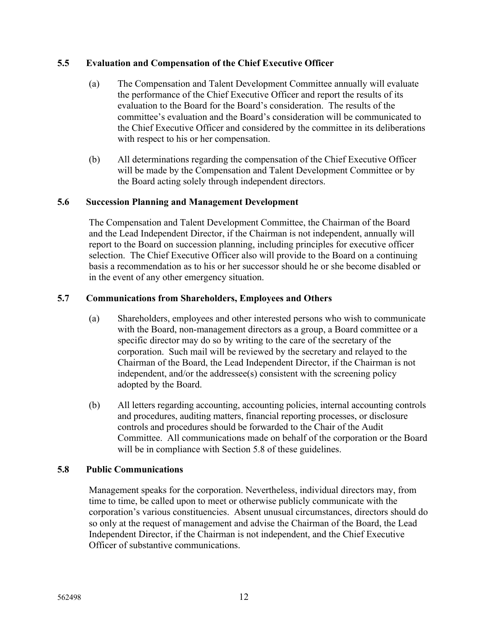## **5.5 Evaluation and Compensation of the Chief Executive Officer**

- (a) The Compensation and Talent Development Committee annually will evaluate the performance of the Chief Executive Officer and report the results of its evaluation to the Board for the Board's consideration. The results of the committee's evaluation and the Board's consideration will be communicated to the Chief Executive Officer and considered by the committee in its deliberations with respect to his or her compensation.
- (b) All determinations regarding the compensation of the Chief Executive Officer will be made by the Compensation and Talent Development Committee or by the Board acting solely through independent directors.

## **5.6 Succession Planning and Management Development**

The Compensation and Talent Development Committee, the Chairman of the Board and the Lead Independent Director, if the Chairman is not independent, annually will report to the Board on succession planning, including principles for executive officer selection. The Chief Executive Officer also will provide to the Board on a continuing basis a recommendation as to his or her successor should he or she become disabled or in the event of any other emergency situation.

## **5.7 Communications from Shareholders, Employees and Others**

- (a) Shareholders, employees and other interested persons who wish to communicate with the Board, non-management directors as a group, a Board committee or a specific director may do so by writing to the care of the secretary of the corporation. Such mail will be reviewed by the secretary and relayed to the Chairman of the Board, the Lead Independent Director, if the Chairman is not independent, and/or the addressee(s) consistent with the screening policy adopted by the Board.
- (b) All letters regarding accounting, accounting policies, internal accounting controls and procedures, auditing matters, financial reporting processes, or disclosure controls and procedures should be forwarded to the Chair of the Audit Committee. All communications made on behalf of the corporation or the Board will be in compliance with Section 5.8 of these guidelines.

# **5.8 Public Communications**

Management speaks for the corporation. Nevertheless, individual directors may, from time to time, be called upon to meet or otherwise publicly communicate with the corporation's various constituencies. Absent unusual circumstances, directors should do so only at the request of management and advise the Chairman of the Board, the Lead Independent Director, if the Chairman is not independent, and the Chief Executive Officer of substantive communications.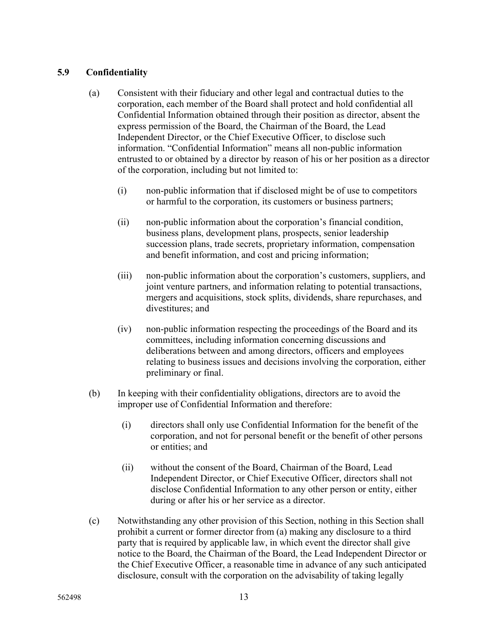## **5.9 Confidentiality**

- (a) Consistent with their fiduciary and other legal and contractual duties to the corporation, each member of the Board shall protect and hold confidential all Confidential Information obtained through their position as director, absent the express permission of the Board, the Chairman of the Board, the Lead Independent Director, or the Chief Executive Officer, to disclose such information. "Confidential Information" means all non-public information entrusted to or obtained by a director by reason of his or her position as a director of the corporation, including but not limited to:
	- (i) non-public information that if disclosed might be of use to competitors or harmful to the corporation, its customers or business partners;
	- (ii) non-public information about the corporation's financial condition, business plans, development plans, prospects, senior leadership succession plans, trade secrets, proprietary information, compensation and benefit information, and cost and pricing information;
	- (iii) non-public information about the corporation's customers, suppliers, and joint venture partners, and information relating to potential transactions, mergers and acquisitions, stock splits, dividends, share repurchases, and divestitures; and
	- (iv) non-public information respecting the proceedings of the Board and its committees, including information concerning discussions and deliberations between and among directors, officers and employees relating to business issues and decisions involving the corporation, either preliminary or final.
- (b) In keeping with their confidentiality obligations, directors are to avoid the improper use of Confidential Information and therefore:
	- (i) directors shall only use Confidential Information for the benefit of the corporation, and not for personal benefit or the benefit of other persons or entities; and
	- (ii) without the consent of the Board, Chairman of the Board, Lead Independent Director, or Chief Executive Officer, directors shall not disclose Confidential Information to any other person or entity, either during or after his or her service as a director.
- (c) Notwithstanding any other provision of this Section, nothing in this Section shall prohibit a current or former director from (a) making any disclosure to a third party that is required by applicable law, in which event the director shall give notice to the Board, the Chairman of the Board, the Lead Independent Director or the Chief Executive Officer, a reasonable time in advance of any such anticipated disclosure, consult with the corporation on the advisability of taking legally